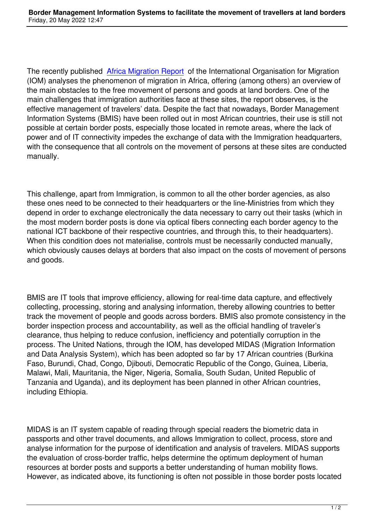The recently published Africa Migration Report of the International Organisation for Migration (IOM) analyses the phenomenon of migration in Africa, offering (among others) an overview of the main obstacles to the free movement of persons and goods at land borders. One of the main challenges that im[migration authorities fac](https://publications.iom.int/system/files/pdf/africa-migration-report.pdf)e at these sites, the report observes, is the effective management of travelers' data. Despite the fact that nowadays, Border Management Information Systems (BMIS) have been rolled out in most African countries, their use is still not possible at certain border posts, especially those located in remote areas, where the lack of power and of IT connectivity impedes the exchange of data with the Immigration headquarters, with the consequence that all controls on the movement of persons at these sites are conducted manually.

This challenge, apart from Immigration, is common to all the other border agencies, as also these ones need to be connected to their headquarters or the line-Ministries from which they depend in order to exchange electronically the data necessary to carry out their tasks (which in the most modern border posts is done via optical fibers connecting each border agency to the national ICT backbone of their respective countries, and through this, to their headquarters). When this condition does not materialise, controls must be necessarily conducted manually, which obviously causes delays at borders that also impact on the costs of movement of persons and goods.

BMIS are IT tools that improve efficiency, allowing for real-time data capture, and effectively collecting, processing, storing and analysing information, thereby allowing countries to better track the movement of people and goods across borders. BMIS also promote consistency in the border inspection process and accountability, as well as the official handling of traveler's clearance, thus helping to reduce confusion, inefficiency and potentially corruption in the process. The United Nations, through the IOM, has developed MIDAS (Migration Information and Data Analysis System), which has been adopted so far by 17 African countries (Burkina Faso, Burundi, Chad, Congo, Djibouti, Democratic Republic of the Congo, Guinea, Liberia, Malawi, Mali, Mauritania, the Niger, Nigeria, Somalia, South Sudan, United Republic of Tanzania and Uganda), and its deployment has been planned in other African countries, including Ethiopia.

MIDAS is an IT system capable of reading through special readers the biometric data in passports and other travel documents, and allows Immigration to collect, process, store and analyse information for the purpose of identification and analysis of travelers. MIDAS supports the evaluation of cross-border traffic, helps determine the optimum deployment of human resources at border posts and supports a better understanding of human mobility flows. However, as indicated above, its functioning is often not possible in those border posts located